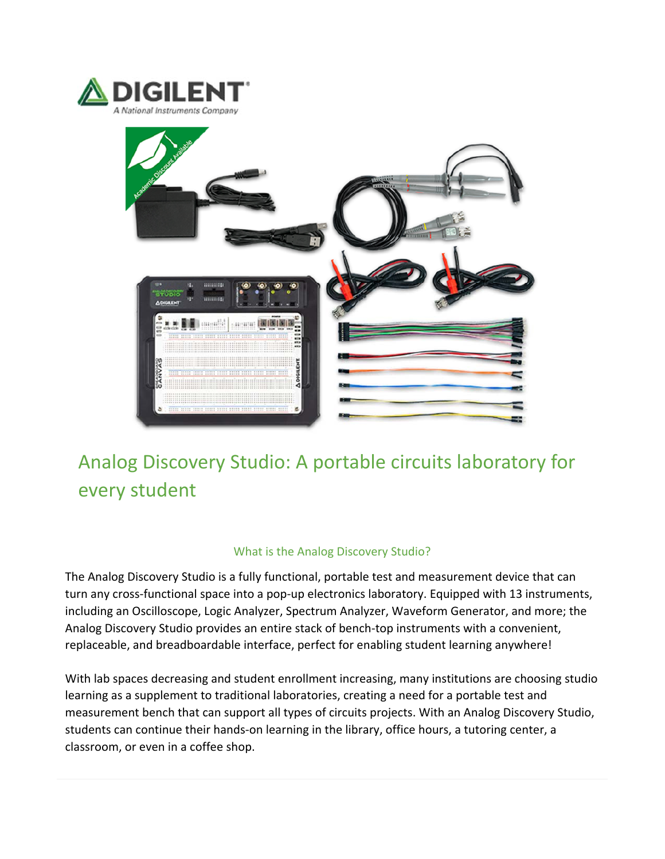



# Analog Discovery Studio: A portable circuits laboratory for every student

# What is the Analog Discovery Studio?

The Analog Discovery Studio is a fully functional, portable test and measurement device that can turn any cross-functional space into a pop-up electronics laboratory. Equipped with 13 instruments, including an Oscilloscope, Logic Analyzer, Spectrum Analyzer, Waveform Generator, and more; the Analog Discovery Studio provides an entire stack of bench‐top instruments with a convenient, replaceable, and breadboardable interface, perfect for enabling student learning anywhere!

With lab spaces decreasing and student enrollment increasing, many institutions are choosing studio learning as a supplement to traditional laboratories, creating a need for a portable test and measurement bench that can support all types of circuits projects. With an Analog Discovery Studio, students can continue their hands‐on learning in the library, office hours, a tutoring center, a classroom, or even in a coffee shop.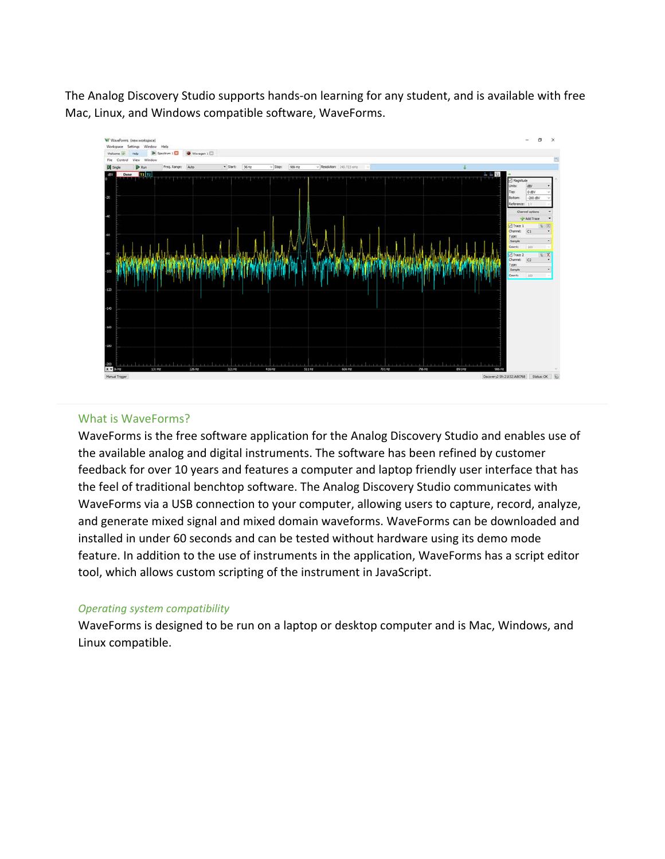The Analog Discovery Studio supports hands‐on learning for any student, and is available with free Mac, Linux, and Windows compatible software, WaveForms.



#### What is WaveForms?

WaveForms is the free software application for the Analog Discovery Studio and enables use of the available analog and digital instruments. The software has been refined by customer feedback for over 10 years and features a computer and laptop friendly user interface that has the feel of traditional benchtop software. The Analog Discovery Studio communicates with WaveForms via a USB connection to your computer, allowing users to capture, record, analyze, and generate mixed signal and mixed domain waveforms. WaveForms can be downloaded and installed in under 60 seconds and can be tested without hardware using its demo mode feature. In addition to the use of instruments in the application, WaveForms has a script editor tool, which allows custom scripting of the instrument in JavaScript.

#### *Operating system compatibility*

WaveForms is designed to be run on a laptop or desktop computer and is Mac, Windows, and Linux compatible.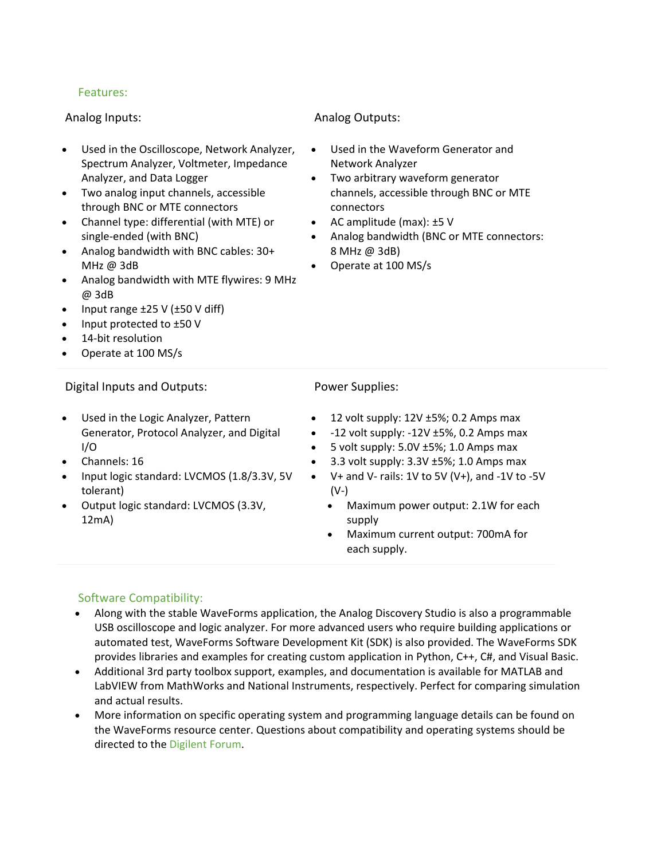# Features:

#### Analog Inputs:

- Used in the Oscilloscope, Network Analyzer, Spectrum Analyzer, Voltmeter, Impedance Analyzer, and Data Logger
- Two analog input channels, accessible through BNC or MTE connectors
- Channel type: differential (with MTE) or single‐ended (with BNC)
- Analog bandwidth with BNC cables: 30+ MHz @ 3dB
- Analog bandwidth with MTE flywires: 9 MHz @ 3dB
- Input range  $\pm 25$  V ( $\pm 50$  V diff)
- $\bullet$  Input protected to  $\pm 50$  V
- 14-bit resolution
- Operate at 100 MS/s

## Digital Inputs and Outputs:

- Used in the Logic Analyzer, Pattern Generator, Protocol Analyzer, and Digital I/O
- Channels: 16
- Input logic standard: LVCMOS (1.8/3.3V, 5V tolerant)
- Output logic standard: LVCMOS (3.3V, 12mA)

## Analog Outputs:

- Used in the Waveform Generator and Network Analyzer
- Two arbitrary waveform generator channels, accessible through BNC or MTE connectors
- AC amplitude (max):  $±5$  V
- Analog bandwidth (BNC or MTE connectors: 8 MHz @ 3dB)
- Operate at 100 MS/s

#### Power Supplies:

- 12 volt supply: 12V ±5%; 0.2 Amps max
- $-12$  volt supply:  $-12V \pm 5\%$ , 0.2 Amps max
- 5 volt supply: 5.0V ±5%; 1.0 Amps max
- 3.3 volt supply: 3.3V ±5%; 1.0 Amps max
- V+ and V‐ rails: 1V to 5V (V+), and ‐1V to ‐5V  $(V-)$ 
	- Maximum power output: 2.1W for each supply
	- Maximum current output: 700mA for each supply.

# Software Compatibility:

- Along with the stable WaveForms application, the Analog Discovery Studio is also a programmable USB oscilloscope and logic analyzer. For more advanced users who require building applications or automated test, WaveForms Software Development Kit (SDK) is also provided. The WaveForms SDK provides libraries and examples for creating custom application in Python, C++, C#, and Visual Basic.
- Additional 3rd party toolbox support, examples, and documentation is available for MATLAB and LabVIEW from MathWorks and National Instruments, respectively. Perfect for comparing simulation and actual results.
- More information on specific operating system and programming language details can be found on the WaveForms resource center. Questions about compatibility and operating systems should be directed to the Digilent Forum.